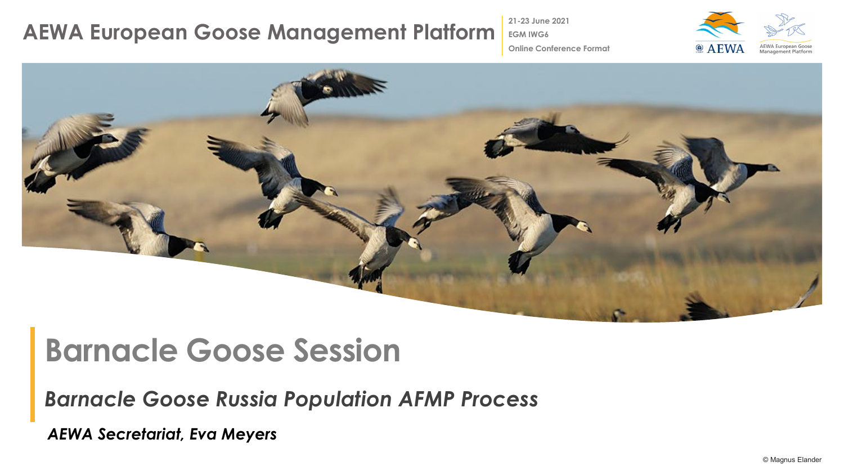### **AEWA European Goose Management Platform**

**21-23 June 2021 EGM IWG6**



**Online Conference Format**



# **Barnacle Goose Session**

*Barnacle Goose Russia Population AFMP Process*

*AEWA Secretariat, Eva Meyers*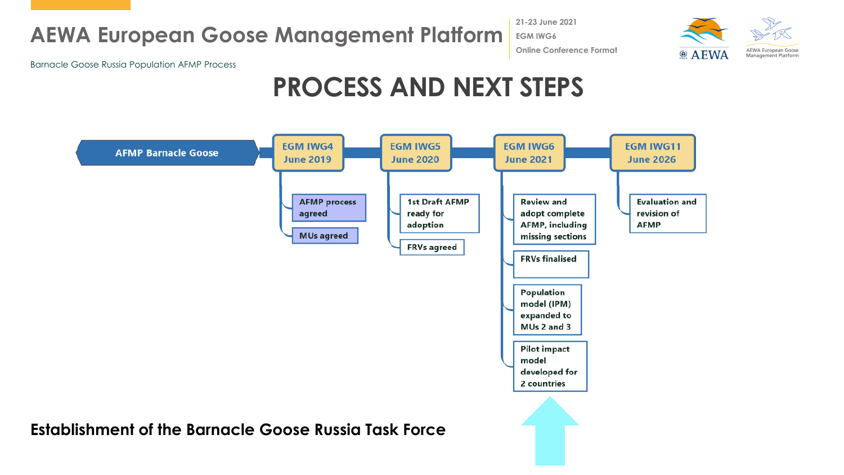## **AEWA European Goose Management Platform**

**21-23 June 2021 EGM IWG6 Online Conference Format**



Barnacle Goose Russia Population AFMP Process

# **PROCESS AND NEXT STEPS**